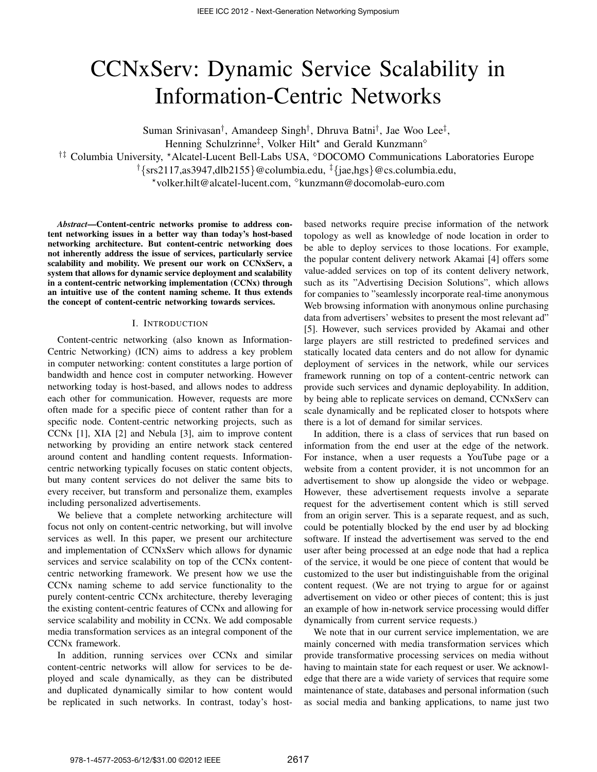# CCNxServ: Dynamic Service Scalability in Information-Centric Networks

Suman Srinivasan<sup>†</sup>, Amandeep Singh<sup>†</sup>, Dhruva Batni<sup>†</sup>, Jae Woo Lee<sup>‡</sup>, Henning Schulzrinne<sup>‡</sup>, Volker Hilt<sup>\*</sup> and Gerald Kunzmann<sup>o</sup> <sup>†‡</sup> Columbia University, \*Alcatel-Lucent Bell-Labs USA, °DOCOMO Communications Laboratories Europe <sup>†</sup>{srs2117,as3947,dlb2155}@columbia.edu,  ${}^{\ddagger}$ {jae,hgs}@cs.columbia.edu, \*volker.hilt@alcatel-lucent.com, <sup>o</sup>kunzmann@docomolab-euro.com

*Abstract*—Content-centric networks promise to address content networking issues in a better way than today's host-based networking architecture. But content-centric networking does not inherently address the issue of services, particularly service scalability and mobility. We present our work on CCNxServ, a system that allows for dynamic service deployment and scalability in a content-centric networking implementation (CCNx) through an intuitive use of the content naming scheme. It thus extends the concept of content-centric networking towards services.

#### I. INTRODUCTION

Content-centric networking (also known as Information-Centric Networking) (ICN) aims to address a key problem in computer networking: content constitutes a large portion of bandwidth and hence cost in computer networking. However networking today is host-based, and allows nodes to address each other for communication. However, requests are more often made for a specific piece of content rather than for a specific node. Content-centric networking projects, such as CCNx [1], XIA [2] and Nebula [3], aim to improve content networking by providing an entire network stack centered around content and handling content requests. Informationcentric networking typically focuses on static content objects, but many content services do not deliver the same bits to every receiver, but transform and personalize them, examples including personalized advertisements.

We believe that a complete networking architecture will focus not only on content-centric networking, but will involve services as well. In this paper, we present our architecture and implementation of CCNxServ which allows for dynamic services and service scalability on top of the CCNx contentcentric networking framework. We present how we use the CCNx naming scheme to add service functionality to the purely content-centric CCNx architecture, thereby leveraging the existing content-centric features of CCNx and allowing for service scalability and mobility in CCNx. We add composable media transformation services as an integral component of the CCNx framework.

In addition, running services over CCNx and similar content-centric networks will allow for services to be deployed and scale dynamically, as they can be distributed and duplicated dynamically similar to how content would be replicated in such networks. In contrast, today's hostbased networks require precise information of the network topology as well as knowledge of node location in order to be able to deploy services to those locations. For example, the popular content delivery network Akamai [4] offers some value-added services on top of its content delivery network, such as its "Advertising Decision Solutions", which allows for companies to "seamlessly incorporate real-time anonymous Web browsing information with anonymous online purchasing data from advertisers' websites to present the most relevant ad" [5]. However, such services provided by Akamai and other large players are still restricted to predefined services and statically located data centers and do not allow for dynamic deployment of services in the network, while our services framework running on top of a content-centric network can provide such services and dynamic deployability. In addition, by being able to replicate services on demand, CCNxServ can scale dynamically and be replicated closer to hotspots where there is a lot of demand for similar services.

In addition, there is a class of services that run based on information from the end user at the edge of the network. For instance, when a user requests a YouTube page or a website from a content provider, it is not uncommon for an advertisement to show up alongside the video or webpage. However, these advertisement requests involve a separate request for the advertisement content which is still served from an origin server. This is a separate request, and as such, could be potentially blocked by the end user by ad blocking software. If instead the advertisement was served to the end user after being processed at an edge node that had a replica of the service, it would be one piece of content that would be customized to the user but indistinguishable from the original content request. (We are not trying to argue for or against advertisement on video or other pieces of content; this is just an example of how in-network service processing would differ dynamically from current service requests.)

We note that in our current service implementation, we are mainly concerned with media transformation services which provide transformative processing services on media without having to maintain state for each request or user. We acknowledge that there are a wide variety of services that require some maintenance of state, databases and personal information (such as social media and banking applications, to name just two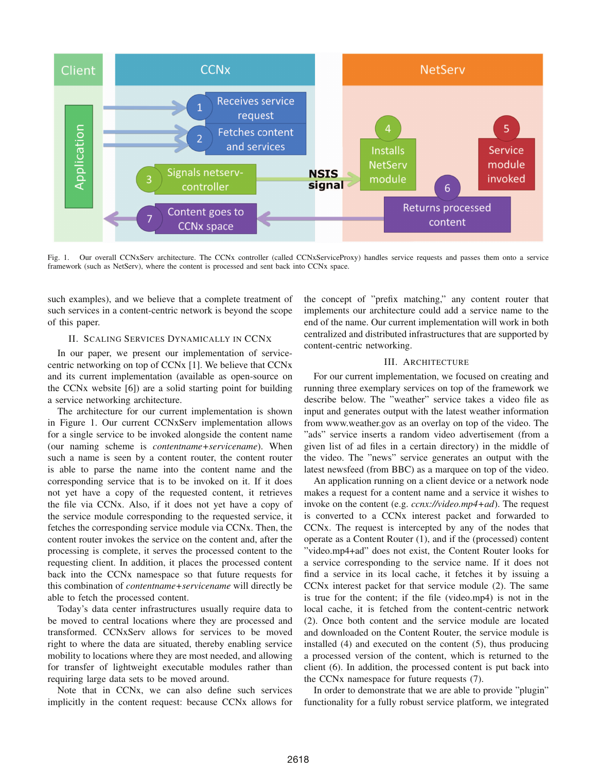

Fig. 1. Our overall CCNxServ architecture. The CCNx controller (called CCNxServiceProxy) handles service requests and passes them onto a service framework (such as NetServ), where the content is processed and sent back into CCNx space.

such examples), and we believe that a complete treatment of such services in a content-centric network is beyond the scope of this paper.

## II. SCALING SERVICES DYNAMICALLY IN CCNX

In our paper, we present our implementation of servicecentric networking on top of CCNx [1]. We believe that CCNx and its current implementation (available as open-source on the CCNx website [6]) are a solid starting point for building a service networking architecture.

The architecture for our current implementation is shown in Figure 1. Our current CCNxServ implementation allows for a single service to be invoked alongside the content name (our naming scheme is *contentname+servicename*). When such a name is seen by a content router, the content router is able to parse the name into the content name and the corresponding service that is to be invoked on it. If it does not yet have a copy of the requested content, it retrieves the file via CCNx. Also, if it does not yet have a copy of the service module corresponding to the requested service, it fetches the corresponding service module via CCNx. Then, the content router invokes the service on the content and, after the processing is complete, it serves the processed content to the requesting client. In addition, it places the processed content back into the CCNx namespace so that future requests for this combination of *contentname+servicename* will directly be able to fetch the processed content.

Today's data center infrastructures usually require data to be moved to central locations where they are processed and transformed. CCNxServ allows for services to be moved right to where the data are situated, thereby enabling service mobility to locations where they are most needed, and allowing for transfer of lightweight executable modules rather than requiring large data sets to be moved around.

Note that in CCNx, we can also define such services implicitly in the content request: because CCNx allows for the concept of "prefix matching," any content router that implements our architecture could add a service name to the end of the name. Our current implementation will work in both centralized and distributed infrastructures that are supported by content-centric networking.

# III. ARCHITECTURE

For our current implementation, we focused on creating and running three exemplary services on top of the framework we describe below. The "weather" service takes a video file as input and generates output with the latest weather information from www.weather.gov as an overlay on top of the video. The "ads" service inserts a random video advertisement (from a given list of ad files in a certain directory) in the middle of the video. The "news" service generates an output with the latest newsfeed (from BBC) as a marquee on top of the video.

An application running on a client device or a network node makes a request for a content name and a service it wishes to invoke on the content (e.g. *ccnx://video.mp4+ad*). The request is converted to a CCNx interest packet and forwarded to CCNx. The request is intercepted by any of the nodes that operate as a Content Router (1), and if the (processed) content "video.mp4+ad" does not exist, the Content Router looks for a service corresponding to the service name. If it does not find a service in its local cache, it fetches it by issuing a CCNx interest packet for that service module (2). The same is true for the content; if the file (video.mp4) is not in the local cache, it is fetched from the content-centric network (2). Once both content and the service module are located and downloaded on the Content Router, the service module is installed (4) and executed on the content (5), thus producing a processed version of the content, which is returned to the client (6). In addition, the processed content is put back into the CCNx namespace for future requests (7).

In order to demonstrate that we are able to provide "plugin" functionality for a fully robust service platform, we integrated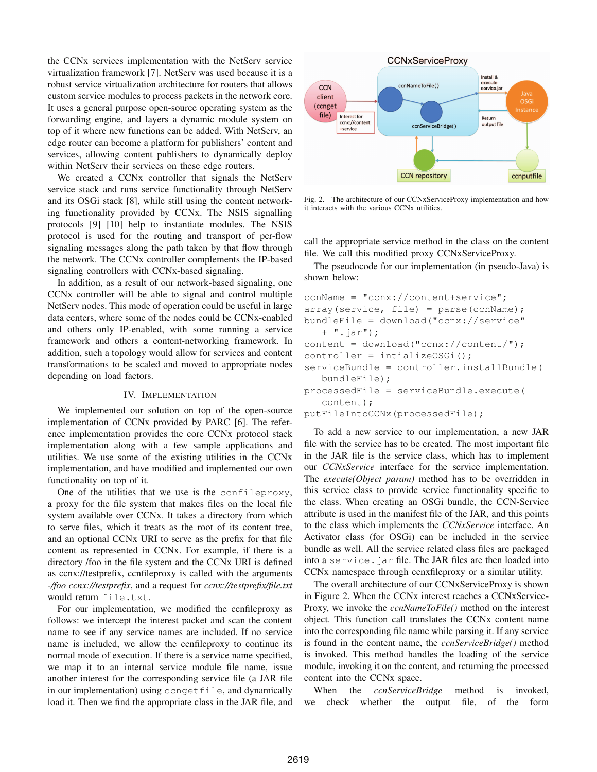the CCNx services implementation with the NetServ service virtualization framework [7]. NetServ was used because it is a robust service virtualization architecture for routers that allows custom service modules to process packets in the network core. It uses a general purpose open-source operating system as the forwarding engine, and layers a dynamic module system on top of it where new functions can be added. With NetServ, an edge router can become a platform for publishers' content and services, allowing content publishers to dynamically deploy within NetServ their services on these edge routers.

We created a CCN<sub>x</sub> controller that signals the NetServ service stack and runs service functionality through NetServ and its OSGi stack [8], while still using the content networking functionality provided by CCNx. The NSIS signalling protocols [9] [10] help to instantiate modules. The NSIS protocol is used for the routing and transport of per-flow signaling messages along the path taken by that flow through the network. The CCNx controller complements the IP-based signaling controllers with CCNx-based signaling.

In addition, as a result of our network-based signaling, one CCNx controller will be able to signal and control multiple NetServ nodes. This mode of operation could be useful in large data centers, where some of the nodes could be CCNx-enabled and others only IP-enabled, with some running a service framework and others a content-networking framework. In addition, such a topology would allow for services and content transformations to be scaled and moved to appropriate nodes depending on load factors.

#### IV. IMPLEMENTATION

We implemented our solution on top of the open-source implementation of CCNx provided by PARC [6]. The reference implementation provides the core CCNx protocol stack implementation along with a few sample applications and utilities. We use some of the existing utilities in the CCNx implementation, and have modified and implemented our own functionality on top of it.

One of the utilities that we use is the ccnfileproxy, a proxy for the file system that makes files on the local file system available over CCNx. It takes a directory from which to serve files, which it treats as the root of its content tree, and an optional CCNx URI to serve as the prefix for that file content as represented in CCNx. For example, if there is a directory /foo in the file system and the CCNx URI is defined as ccnx://testprefix, ccnfileproxy is called with the arguments -*/foo ccnx://testprefix*, and a request for *ccnx://testprefix/file.txt* would return file.txt.

For our implementation, we modified the ccnfileproxy as follows: we intercept the interest packet and scan the content name to see if any service names are included. If no service name is included, we allow the ccnfileproxy to continue its normal mode of execution. If there is a service name specified, we map it to an internal service module file name, issue another interest for the corresponding service file (a JAR file in our implementation) using congetfile, and dynamically load it. Then we find the appropriate class in the JAR file, and



Fig. 2. The architecture of our CCNxServiceProxy implementation and how it interacts with the various CCNx utilities.

call the appropriate service method in the class on the content file. We call this modified proxy CCNxServiceProxy.

The pseudocode for our implementation (in pseudo-Java) is shown below:

```
ccnName = "ccnx://content+service";
array(service, file) = parse(ccnName);
bundleFile = download("ccnx://service"
   + ".jar");
content = download("ccnx://content/");
controller = intializeOSGi();
serviceBundle = controller.installBundle(
  bundleFile);
processedFile = serviceBundle.execute(
   content);
putFileIntoCCNx(processedFile);
```
To add a new service to our implementation, a new JAR file with the service has to be created. The most important file in the JAR file is the service class, which has to implement our *CCNxService* interface for the service implementation. The *execute(Object param)* method has to be overridden in this service class to provide service functionality specific to the class. When creating an OSGi bundle, the CCN-Service attribute is used in the manifest file of the JAR, and this points to the class which implements the *CCNxService* interface. An Activator class (for OSGi) can be included in the service bundle as well. All the service related class files are packaged into a service.jar file. The JAR files are then loaded into CCNx namespace through ccnxfileproxy or a similar utility.

The overall architecture of our CCNxServiceProxy is shown in Figure 2. When the CCNx interest reaches a CCNxService-Proxy, we invoke the *ccnNameToFile()* method on the interest object. This function call translates the CCNx content name into the corresponding file name while parsing it. If any service is found in the content name, the *ccnServiceBridge()* method is invoked. This method handles the loading of the service module, invoking it on the content, and returning the processed content into the CCNx space.

When the *ccnServiceBridge* method is invoked, we check whether the output file, of the form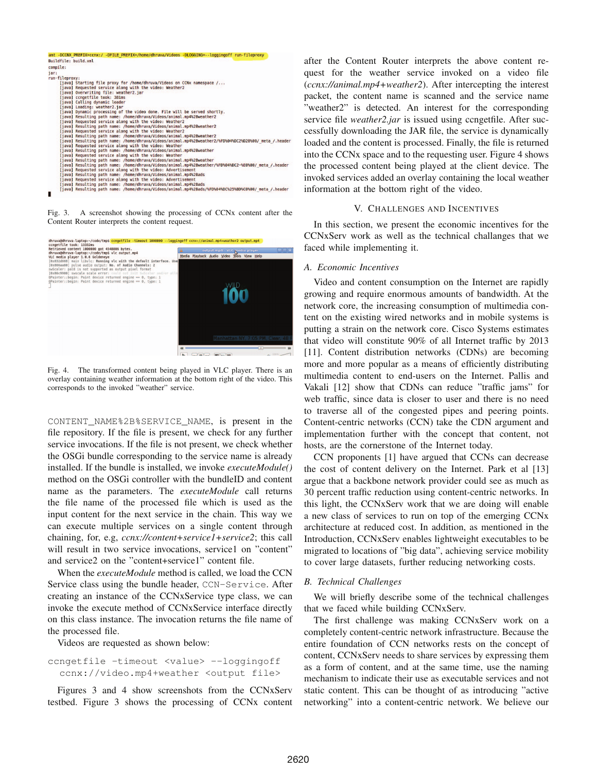|                |                                                                  |  |  | ant -DCCNX PREFIX=ccnx:/ -DFILE PREFIX=/home/dhruva/Videos -DLOGGING=--loggingoff run-fileproxy |                                                                                                        |
|----------------|------------------------------------------------------------------|--|--|-------------------------------------------------------------------------------------------------|--------------------------------------------------------------------------------------------------------|
|                | Buildfile: build.xml                                             |  |  |                                                                                                 |                                                                                                        |
| compile:       |                                                                  |  |  |                                                                                                 |                                                                                                        |
| jar:           |                                                                  |  |  |                                                                                                 |                                                                                                        |
| run-fileproxy: |                                                                  |  |  |                                                                                                 |                                                                                                        |
|                |                                                                  |  |  | [java] Starting file proxy for /home/dhruva/Videos on CCNx namespace /                          |                                                                                                        |
|                | [java] Requested service along with the video: Weather2          |  |  |                                                                                                 |                                                                                                        |
|                | [java] Overwriting file: weather2.jar                            |  |  |                                                                                                 |                                                                                                        |
|                | [java] congetfile took: 381ms                                    |  |  |                                                                                                 |                                                                                                        |
|                | [java] Calling dynamic loader                                    |  |  |                                                                                                 |                                                                                                        |
|                | [java] Loading: weather2.jar                                     |  |  |                                                                                                 |                                                                                                        |
|                |                                                                  |  |  | Tiaval Dynamic processing of the video done. File will be served shortly.                       |                                                                                                        |
|                |                                                                  |  |  | [java] Resulting path name: /home/dhruva/Videos/animal.mp4%2Bweather2                           |                                                                                                        |
|                | [java] Requested service along with the video: Weather2          |  |  |                                                                                                 |                                                                                                        |
|                |                                                                  |  |  | [java] Resulting path name: /home/dhruva/Videos/animal.mp4%2Bweather2                           |                                                                                                        |
|                | [java] Requested service along with the video: Weather2          |  |  |                                                                                                 |                                                                                                        |
|                |                                                                  |  |  | [iava] Resulting path name: /home/dhruva/Videos/animal.mp4%2Bweather2                           |                                                                                                        |
|                |                                                                  |  |  |                                                                                                 | [iava] Resulting path name: /home/dhruva/Videos/animal.mp4%2Bweather2/%FD%04%DC2%D20%00/ meta /.header |
|                | [java] Requested service along with the video: Weather           |  |  |                                                                                                 |                                                                                                        |
|                |                                                                  |  |  | [java] Resulting path name: /home/dhruva/Videos/animal.mp4%2Bweather                            |                                                                                                        |
|                | [java] Requested service along with the video: Weather           |  |  |                                                                                                 |                                                                                                        |
|                |                                                                  |  |  | [java] Resulting path name: /home/dhruva/Videos/animal.mp4%2Bweather                            |                                                                                                        |
|                |                                                                  |  |  |                                                                                                 | [java] Resulting path name: /home/dhruva/Videos/animal.mp4%2Bweather/%FD%04%DC2~%E0%00/ meta /.header  |
|                | [java] Requested service along with the video: Advertisement     |  |  |                                                                                                 |                                                                                                        |
|                | [java] Resulting path name: /home/dhruva/Videos/animal.mp4%2Bads |  |  |                                                                                                 |                                                                                                        |
|                | [java] Requested service along with the video: Advertisement     |  |  |                                                                                                 |                                                                                                        |
|                | [java] Resulting path name: /home/dhruva/Videos/animal.mp4%2Bads |  |  |                                                                                                 |                                                                                                        |
| П              |                                                                  |  |  |                                                                                                 | [java] Resulting path name: /home/dhruva/Videos/animal.mp4%2Bads/%FD%04%DC%25%BD%C0%00/ meta /.header  |

Fig. 3. A screenshot showing the processing of CCNx content after the Content Router interprets the content request.



Fig. 4. The transformed content being played in VLC player. There is an overlay containing weather information at the bottom right of the video. This corresponds to the invoked "weather" service.

CONTENT\_NAME%2B%SERVICE\_NAME, is present in the file repository. If the file is present, we check for any further service invocations. If the file is not present, we check whether the OSGi bundle corresponding to the service name is already installed. If the bundle is installed, we invoke *executeModule()* method on the OSGi controller with the bundleID and content name as the parameters. The *executeModule* call returns the file name of the processed file which is used as the input content for the next service in the chain. This way we can execute multiple services on a single content through chaining, for, e.g, *ccnx://content+service1+service2*; this call will result in two service invocations, service1 on "content" and service2 on the "content+service1" content file.

When the *executeModule* method is called, we load the CCN Service class using the bundle header, CCN-Service. After creating an instance of the CCNxService type class, we can invoke the execute method of CCNxService interface directly on this class instance. The invocation returns the file name of the processed file.

Videos are requested as shown below:

ccngetfile -timeout <value> --loggingoff ccnx://video.mp4+weather <output file>

Figures 3 and 4 show screenshots from the CCNxServ testbed. Figure 3 shows the processing of CCNx content after the Content Router interprets the above content request for the weather service invoked on a video file (*ccnx://animal.mp4+weather2*). After intercepting the interest packet, the content name is scanned and the service name "weather2" is detected. An interest for the corresponding service file *weather2.jar* is issued using ccngetfile. After successfully downloading the JAR file, the service is dynamically loaded and the content is processed. Finally, the file is returned into the CCNx space and to the requesting user. Figure 4 shows the processed content being played at the client device. The invoked services added an overlay containing the local weather information at the bottom right of the video.

#### V. CHALLENGES AND INCENTIVES

In this section, we present the economic incentives for the CCNxServ work as well as the technical challanges that we faced while implementing it.

#### *A. Economic Incentives*

Video and content consumption on the Internet are rapidly growing and require enormous amounts of bandwidth. At the network core, the increasing consumption of multimedia content on the existing wired networks and in mobile systems is putting a strain on the network core. Cisco Systems estimates that video will constitute 90% of all Internet traffic by 2013 [11]. Content distribution networks (CDNs) are becoming more and more popular as a means of efficiently distributing multimedia content to end-users on the Internet. Pallis and Vakali [12] show that CDNs can reduce "traffic jams" for web traffic, since data is closer to user and there is no need to traverse all of the congested pipes and peering points. Content-centric networks (CCN) take the CDN argument and implementation further with the concept that content, not hosts, are the cornerstone of the Internet today.

CCN proponents [1] have argued that CCNs can decrease the cost of content delivery on the Internet. Park et al [13] argue that a backbone network provider could see as much as 30 percent traffic reduction using content-centric networks. In this light, the CCNxServ work that we are doing will enable a new class of services to run on top of the emerging CCNx architecture at reduced cost. In addition, as mentioned in the Introduction, CCNxServ enables lightweight executables to be migrated to locations of "big data", achieving service mobility to cover large datasets, further reducing networking costs.

#### *B. Technical Challenges*

We will briefly describe some of the technical challenges that we faced while building CCNxServ.

The first challenge was making CCNxServ work on a completely content-centric network infrastructure. Because the entire foundation of CCN networks rests on the concept of content, CCNxServ needs to share services by expressing them as a form of content, and at the same time, use the naming mechanism to indicate their use as executable services and not static content. This can be thought of as introducing "active networking" into a content-centric network. We believe our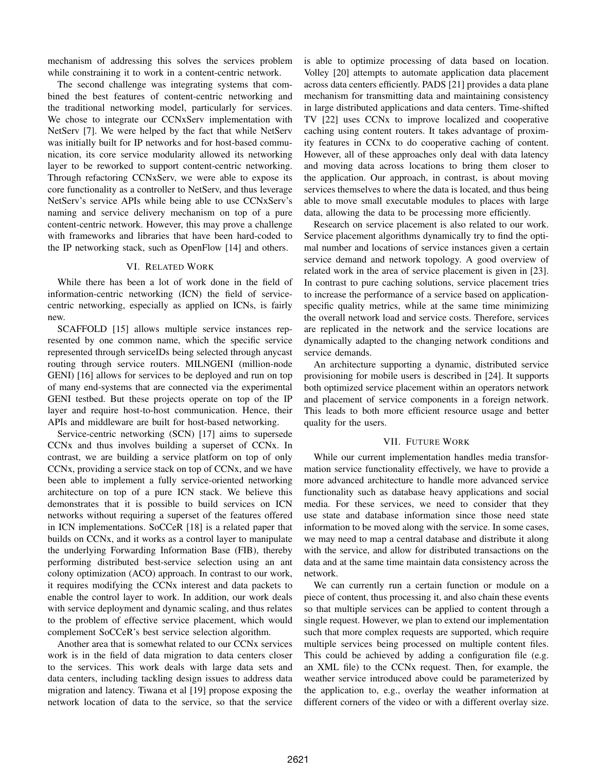mechanism of addressing this solves the services problem while constraining it to work in a content-centric network.

The second challenge was integrating systems that combined the best features of content-centric networking and the traditional networking model, particularly for services. We chose to integrate our CCNxServ implementation with NetServ [7]. We were helped by the fact that while NetServ was initially built for IP networks and for host-based communication, its core service modularity allowed its networking layer to be reworked to support content-centric networking. Through refactoring CCNxServ, we were able to expose its core functionality as a controller to NetServ, and thus leverage NetServ's service APIs while being able to use CCNxServ's naming and service delivery mechanism on top of a pure content-centric network. However, this may prove a challenge with frameworks and libraries that have been hard-coded to the IP networking stack, such as OpenFlow [14] and others.

## VI. RELATED WORK

While there has been a lot of work done in the field of information-centric networking (ICN) the field of servicecentric networking, especially as applied on ICNs, is fairly new.

SCAFFOLD [15] allows multiple service instances represented by one common name, which the specific service represented through serviceIDs being selected through anycast routing through service routers. MILNGENI (million-node GENI) [16] allows for services to be deployed and run on top of many end-systems that are connected via the experimental GENI testbed. But these projects operate on top of the IP layer and require host-to-host communication. Hence, their APIs and middleware are built for host-based networking.

Service-centric networking (SCN) [17] aims to supersede CCNx and thus involves building a superset of CCNx. In contrast, we are building a service platform on top of only CCNx, providing a service stack on top of CCNx, and we have been able to implement a fully service-oriented networking architecture on top of a pure ICN stack. We believe this demonstrates that it is possible to build services on ICN networks without requiring a superset of the features offered in ICN implementations. SoCCeR [18] is a related paper that builds on CCNx, and it works as a control layer to manipulate the underlying Forwarding Information Base (FIB), thereby performing distributed best-service selection using an ant colony optimization (ACO) approach. In contrast to our work, it requires modifying the CCNx interest and data packets to enable the control layer to work. In addition, our work deals with service deployment and dynamic scaling, and thus relates to the problem of effective service placement, which would complement SoCCeR's best service selection algorithm.

Another area that is somewhat related to our CCNx services work is in the field of data migration to data centers closer to the services. This work deals with large data sets and data centers, including tackling design issues to address data migration and latency. Tiwana et al [19] propose exposing the network location of data to the service, so that the service is able to optimize processing of data based on location. Volley [20] attempts to automate application data placement across data centers efficiently. PADS [21] provides a data plane mechanism for transmitting data and maintaining consistency in large distributed applications and data centers. Time-shifted TV [22] uses CCNx to improve localized and cooperative caching using content routers. It takes advantage of proximity features in CCNx to do cooperative caching of content. However, all of these approaches only deal with data latency and moving data across locations to bring them closer to the application. Our approach, in contrast, is about moving services themselves to where the data is located, and thus being able to move small executable modules to places with large data, allowing the data to be processing more efficiently.

Research on service placement is also related to our work. Service placement algorithms dynamically try to find the optimal number and locations of service instances given a certain service demand and network topology. A good overview of related work in the area of service placement is given in [23]. In contrast to pure caching solutions, service placement tries to increase the performance of a service based on applicationspecific quality metrics, while at the same time minimizing the overall network load and service costs. Therefore, services are replicated in the network and the service locations are dynamically adapted to the changing network conditions and service demands.

An architecture supporting a dynamic, distributed service provisioning for mobile users is described in [24]. It supports both optimized service placement within an operators network and placement of service components in a foreign network. This leads to both more efficient resource usage and better quality for the users.

#### VII. FUTURE WORK

While our current implementation handles media transformation service functionality effectively, we have to provide a more advanced architecture to handle more advanced service functionality such as database heavy applications and social media. For these services, we need to consider that they use state and database information since those need state information to be moved along with the service. In some cases, we may need to map a central database and distribute it along with the service, and allow for distributed transactions on the data and at the same time maintain data consistency across the network.

We can currently run a certain function or module on a piece of content, thus processing it, and also chain these events so that multiple services can be applied to content through a single request. However, we plan to extend our implementation such that more complex requests are supported, which require multiple services being processed on multiple content files. This could be achieved by adding a configuration file (e.g. an XML file) to the CCNx request. Then, for example, the weather service introduced above could be parameterized by the application to, e.g., overlay the weather information at different corners of the video or with a different overlay size.